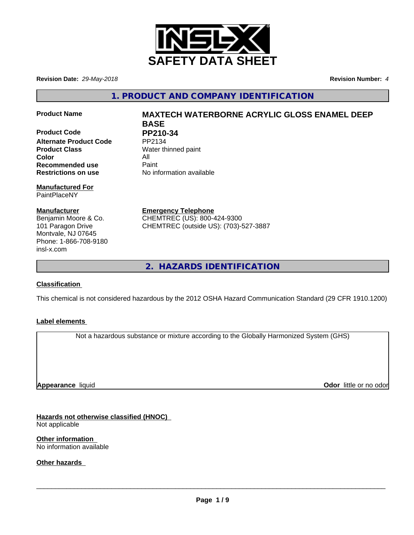

**Revision Date:** *29-May-2018* **Revision Number:** *4*

**1. PRODUCT AND COMPANY IDENTIFICATION**

**Product Code PP210-34**<br>Alternate Product Code PP2134 **Alternate Product Code Product Class** Water thinned paint **Color** All **All**<br> **Recommended use** Paint **Recommended use Restrictions on use** No information available

#### **Manufactured For** PaintPlaceNY

**Manufacturer** Benjamin Moore & Co. 101 Paragon Drive Montvale, NJ 07645 Phone: 1-866-708-9180 insl-x.com

# **Product Name MAXTECH WATERBORNE ACRYLIC GLOSS ENAMEL DEEP BASE**

**Emergency Telephone** CHEMTREC (US): 800-424-9300 CHEMTREC (outside US): (703)-527-3887

**2. HAZARDS IDENTIFICATION**

### **Classification**

This chemical is not considered hazardous by the 2012 OSHA Hazard Communication Standard (29 CFR 1910.1200)

### **Label elements**

Not a hazardous substance or mixture according to the Globally Harmonized System (GHS)

**Appearance** liquid

**Odor** little or no odor

**Hazards not otherwise classified (HNOC)** Not applicable

**Other information** No information available

**Other hazards**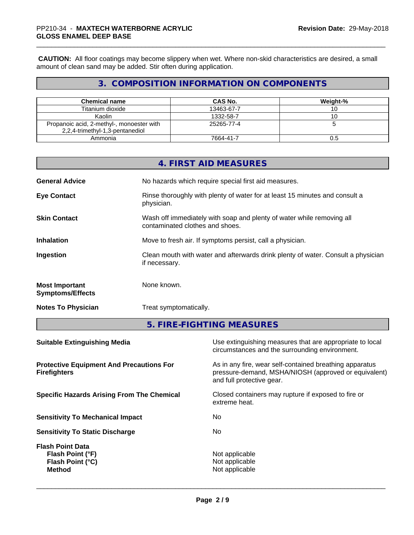**CAUTION:** All floor coatings may become slippery when wet. Where non-skid characteristics are desired, a small amount of clean sand may be added. Stir often during application.

### **3. COMPOSITION INFORMATION ON COMPONENTS**

| <b>Chemical name</b>                                                         | CAS No.    | Weight-% |
|------------------------------------------------------------------------------|------------|----------|
| Titanium dioxide                                                             | 13463-67-7 |          |
| Kaolin                                                                       | 1332-58-7  | ◡        |
| Propanoic acid, 2-methyl-, monoester with<br>2,2,4-trimethyl-1,3-pentanediol | 25265-77-4 |          |
| Ammonia                                                                      | 7664-41-7  | U.5      |

|                                                  | <b>4. FIRST AID MEASURES</b>                                                                             |
|--------------------------------------------------|----------------------------------------------------------------------------------------------------------|
| <b>General Advice</b>                            | No hazards which require special first aid measures.                                                     |
| <b>Eye Contact</b>                               | Rinse thoroughly with plenty of water for at least 15 minutes and consult a<br>physician.                |
| <b>Skin Contact</b>                              | Wash off immediately with soap and plenty of water while removing all<br>contaminated clothes and shoes. |
| <b>Inhalation</b>                                | Move to fresh air. If symptoms persist, call a physician.                                                |
| Ingestion                                        | Clean mouth with water and afterwards drink plenty of water. Consult a physician<br>if necessary.        |
| <b>Most Important</b><br><b>Symptoms/Effects</b> | None known.                                                                                              |
| <b>Notes To Physician</b>                        | Treat symptomatically.                                                                                   |

**5. FIRE-FIGHTING MEASURES**

| Use extinguishing measures that are appropriate to local<br>circumstances and the surrounding environment.                                   |
|----------------------------------------------------------------------------------------------------------------------------------------------|
| As in any fire, wear self-contained breathing apparatus<br>pressure-demand, MSHA/NIOSH (approved or equivalent)<br>and full protective gear. |
| Closed containers may rupture if exposed to fire or<br>extreme heat.                                                                         |
| No.                                                                                                                                          |
| No.                                                                                                                                          |
| Not applicable<br>Not applicable<br>Not applicable                                                                                           |
|                                                                                                                                              |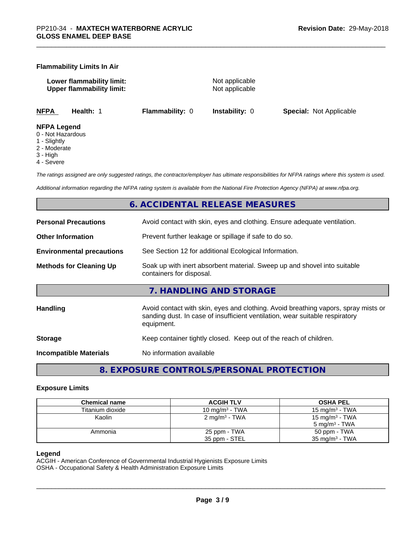#### **Flammability Limits In Air**

**Lower flammability limit:** Not applicable **Upper flammability limit:** Not applicable

**NFPA Health:** 1 **Flammability:** 0 **Instability:** 0 **Special:** Not Applicable

#### **NFPA Legend**

- 0 Not Hazardous
- 1 Slightly
- 2 Moderate
- 3 High
- 4 Severe

*The ratings assigned are only suggested ratings, the contractor/employer has ultimate responsibilities for NFPA ratings where this system is used.*

*Additional information regarding the NFPA rating system is available from the National Fire Protection Agency (NFPA) at www.nfpa.org.*

### **6. ACCIDENTAL RELEASE MEASURES**

| <b>Personal Precautions</b>      | Avoid contact with skin, eyes and clothing. Ensure adequate ventilation.                                                                                                         |
|----------------------------------|----------------------------------------------------------------------------------------------------------------------------------------------------------------------------------|
| <b>Other Information</b>         | Prevent further leakage or spillage if safe to do so.                                                                                                                            |
| <b>Environmental precautions</b> | See Section 12 for additional Ecological Information.                                                                                                                            |
| <b>Methods for Cleaning Up</b>   | Soak up with inert absorbent material. Sweep up and shovel into suitable<br>containers for disposal.                                                                             |
|                                  | 7. HANDLING AND STORAGE                                                                                                                                                          |
| Handling                         | Avoid contact with skin, eyes and clothing. Avoid breathing vapors, spray mists or<br>sanding dust. In case of insufficient ventilation, wear suitable respiratory<br>equipment. |
| <b>Storage</b>                   | Keep container tightly closed. Keep out of the reach of children.                                                                                                                |
| <b>Incompatible Materials</b>    | No information available                                                                                                                                                         |
|                                  |                                                                                                                                                                                  |

**8. EXPOSURE CONTROLS/PERSONAL PROTECTION**

#### **Exposure Limits**

| <b>Chemical name</b> | <b>ACGIH TLV</b>           | <b>OSHA PEL</b>            |
|----------------------|----------------------------|----------------------------|
| Titanium dioxide     | 10 mg/m <sup>3</sup> - TWA | 15 mg/m $3$ - TWA          |
| Kaolin               | 2 mg/m <sup>3</sup> - TWA  | 15 mg/m <sup>3</sup> - TWA |
|                      |                            | $5 \text{ ma/m}^3$ - TWA   |
| Ammonia              | 25 ppm - TWA               | 50 ppm - TWA               |
|                      | 35 ppm - STEL              | $35 \text{ mg/m}^3$ - TWA  |

#### **Legend**

ACGIH - American Conference of Governmental Industrial Hygienists Exposure Limits OSHA - Occupational Safety & Health Administration Exposure Limits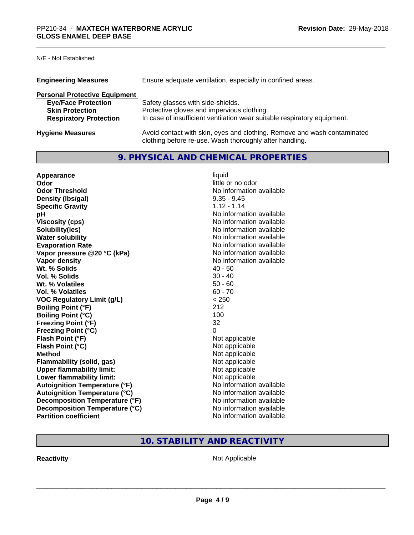### N/E - Not Established

| <b>Engineering Measures</b>          | Ensure adequate ventilation, especially in confined areas.                                                                          |
|--------------------------------------|-------------------------------------------------------------------------------------------------------------------------------------|
| <b>Personal Protective Equipment</b> |                                                                                                                                     |
| <b>Eye/Face Protection</b>           | Safety glasses with side-shields.                                                                                                   |
| <b>Skin Protection</b>               | Protective gloves and impervious clothing.                                                                                          |
| <b>Respiratory Protection</b>        | In case of insufficient ventilation wear suitable respiratory equipment.                                                            |
| <b>Hygiene Measures</b>              | Avoid contact with skin, eyes and clothing. Remove and wash contaminated<br>clothing before re-use. Wash thoroughly after handling. |

### **9. PHYSICAL AND CHEMICAL PROPERTIES**

| Appearance                           | liquid                   |
|--------------------------------------|--------------------------|
| Odor                                 | little or no odor        |
| <b>Odor Threshold</b>                | No information available |
| Density (Ibs/gal)                    | $9.35 - 9.45$            |
| <b>Specific Gravity</b>              | $1.12 - 1.14$            |
| pH                                   | No information available |
| <b>Viscosity (cps)</b>               | No information available |
| Solubility(ies)                      | No information available |
| <b>Water solubility</b>              | No information available |
| <b>Evaporation Rate</b>              | No information available |
| Vapor pressure @20 °C (kPa)          | No information available |
| Vapor density                        | No information available |
| Wt. % Solids                         | $40 - 50$                |
| Vol. % Solids                        | $30 - 40$                |
| Wt. % Volatiles                      | $50 - 60$                |
| Vol. % Volatiles                     | $60 - 70$                |
| <b>VOC Regulatory Limit (g/L)</b>    | < 250                    |
| <b>Boiling Point (°F)</b>            | 212                      |
| <b>Boiling Point (°C)</b>            | 100                      |
| <b>Freezing Point (°F)</b>           | 32                       |
| <b>Freezing Point (°C)</b>           | 0                        |
| Flash Point (°F)                     | Not applicable           |
| Flash Point (°C)                     | Not applicable           |
| <b>Method</b>                        | Not applicable           |
| Flammability (solid, gas)            | Not applicable           |
| <b>Upper flammability limit:</b>     | Not applicable           |
| Lower flammability limit:            | Not applicable           |
| <b>Autoignition Temperature (°F)</b> | No information available |
| <b>Autoignition Temperature (°C)</b> | No information available |
| Decomposition Temperature (°F)       | No information available |
| Decomposition Temperature (°C)       | No information available |
| <b>Partition coefficient</b>         | No information available |

### **10. STABILITY AND REACTIVITY**

**Reactivity Not Applicable** Not Applicable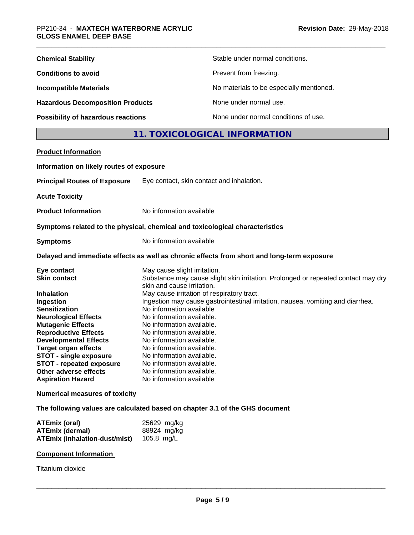| <b>Chemical Stability</b>               | Stable under normal conditions.          |
|-----------------------------------------|------------------------------------------|
| <b>Conditions to avoid</b>              | Prevent from freezing.                   |
| <b>Incompatible Materials</b>           | No materials to be especially mentioned. |
| <b>Hazardous Decomposition Products</b> | None under normal use.                   |
| Possibility of hazardous reactions      | None under normal conditions of use.     |

## **11. TOXICOLOGICAL INFORMATION**

| <b>Product Information</b>                                   |                                                                                                                 |
|--------------------------------------------------------------|-----------------------------------------------------------------------------------------------------------------|
| Information on likely routes of exposure                     |                                                                                                                 |
| <b>Principal Routes of Exposure</b>                          | Eye contact, skin contact and inhalation.                                                                       |
| <b>Acute Toxicity</b>                                        |                                                                                                                 |
| <b>Product Information</b>                                   | No information available                                                                                        |
|                                                              | Symptoms related to the physical, chemical and toxicological characteristics                                    |
| <b>Symptoms</b>                                              | No information available                                                                                        |
|                                                              | Delayed and immediate effects as well as chronic effects from short and long-term exposure                      |
| Eye contact                                                  | May cause slight irritation.                                                                                    |
| <b>Skin contact</b>                                          | Substance may cause slight skin irritation. Prolonged or repeated contact may dry<br>skin and cause irritation. |
| <b>Inhalation</b>                                            | May cause irritation of respiratory tract.                                                                      |
| Ingestion                                                    | Ingestion may cause gastrointestinal irritation, nausea, vomiting and diarrhea.                                 |
| <b>Sensitization</b>                                         | No information available                                                                                        |
| <b>Neurological Effects</b>                                  | No information available.                                                                                       |
| <b>Mutagenic Effects</b>                                     | No information available.                                                                                       |
| <b>Reproductive Effects</b>                                  | No information available.                                                                                       |
| <b>Developmental Effects</b>                                 | No information available.<br>No information available.                                                          |
| <b>Target organ effects</b><br><b>STOT - single exposure</b> | No information available.                                                                                       |
| <b>STOT - repeated exposure</b>                              | No information available.                                                                                       |
| <b>Other adverse effects</b>                                 | No information available.                                                                                       |
| <b>Aspiration Hazard</b>                                     | No information available                                                                                        |
| <b>Numerical measures of toxicity</b>                        |                                                                                                                 |

**The following values are calculated based on chapter 3.1 of the GHS document**

| ATEmix (oral)                            | 25629 mg/kg |
|------------------------------------------|-------------|
| ATEmix (dermal)                          | 88924 mg/kg |
| ATEmix (inhalation-dust/mist) 105.8 mg/L |             |

#### **Component Information**

Titanium dioxide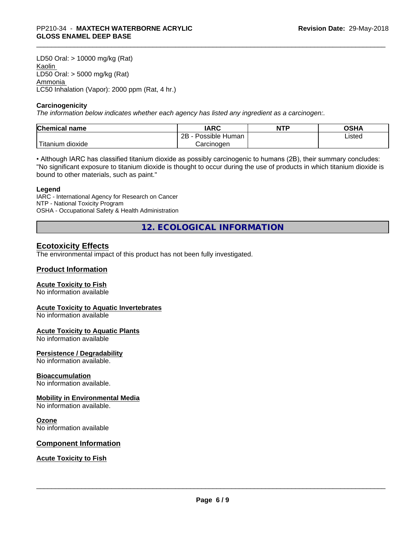LD50 Oral: > 10000 mg/kg (Rat) Kaolin LD50 Oral: > 5000 mg/kg (Rat) Ammonia LC50 Inhalation (Vapor): 2000 ppm (Rat, 4 hr.)

#### **Carcinogenicity**

*The information below indicateswhether each agency has listed any ingredient as a carcinogen:.*

| <b>Chemical</b><br>name             | <b>IARC</b>                    | <b>NTP</b> | ດເ⊔າ<br>שטש |
|-------------------------------------|--------------------------------|------------|-------------|
|                                     | .<br>2B<br>: Human<br>Possible |            | Listed      |
| $-1$<br>, dioxide<br><b>itanium</b> | Carcinoɑen                     |            |             |

• Although IARC has classified titanium dioxide as possibly carcinogenic to humans (2B), their summary concludes: "No significant exposure to titanium dioxide is thought to occur during the use of products in which titanium dioxide is bound to other materials, such as paint."

#### **Legend**

IARC - International Agency for Research on Cancer NTP - National Toxicity Program OSHA - Occupational Safety & Health Administration

**12. ECOLOGICAL INFORMATION**

#### **Ecotoxicity Effects**

The environmental impact of this product has not been fully investigated.

#### **Product Information**

#### **Acute Toxicity to Fish**

No information available

#### **Acute Toxicity to Aquatic Invertebrates**

No information available

#### **Acute Toxicity to Aquatic Plants**

No information available

#### **Persistence / Degradability**

No information available.

#### **Bioaccumulation**

No information available.

#### **Mobility in Environmental Media**

No information available.

#### **Ozone**

No information available

#### **Component Information**

**Acute Toxicity to Fish**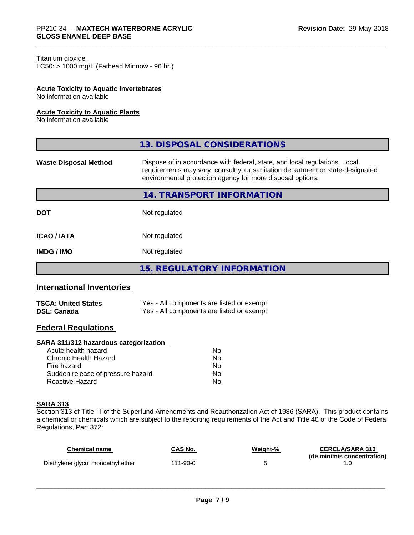#### Titanium dioxide

 $LC50:$  > 1000 mg/L (Fathead Minnow - 96 hr.)

#### **Acute Toxicity to Aquatic Invertebrates**

No information available

#### **Acute Toxicity to Aquatic Plants**

No information available

| 13. DISPOSAL CONSIDERATIONS                                                                                                                                                                                               |
|---------------------------------------------------------------------------------------------------------------------------------------------------------------------------------------------------------------------------|
| Dispose of in accordance with federal, state, and local regulations. Local<br>requirements may vary, consult your sanitation department or state-designated<br>environmental protection agency for more disposal options. |
| 14. TRANSPORT INFORMATION                                                                                                                                                                                                 |
| Not regulated                                                                                                                                                                                                             |
| Not regulated                                                                                                                                                                                                             |
| Not regulated                                                                                                                                                                                                             |
| <b>15. REGULATORY INFORMATION</b>                                                                                                                                                                                         |
|                                                                                                                                                                                                                           |

### **International Inventories**

| <b>TSCA: United States</b> | Yes - All components are listed or exempt. |
|----------------------------|--------------------------------------------|
| <b>DSL: Canada</b>         | Yes - All components are listed or exempt. |

### **Federal Regulations**

#### **SARA 311/312 hazardous categorization**

| Acute health hazard               | No |  |
|-----------------------------------|----|--|
| Chronic Health Hazard             | Nο |  |
| Fire hazard                       | Nο |  |
| Sudden release of pressure hazard | Nο |  |
| Reactive Hazard                   | Nο |  |

#### **SARA 313**

Section 313 of Title III of the Superfund Amendments and Reauthorization Act of 1986 (SARA). This product contains a chemical or chemicals which are subject to the reporting requirements of the Act and Title 40 of the Code of Federal Regulations, Part 372:

| Chemical name                     | CAS No.  | Weight-% | <b>CERCLA/SARA 313</b>     |
|-----------------------------------|----------|----------|----------------------------|
| Diethylene glycol monoethyl ether | 111-90-0 |          | (de minimis concentration) |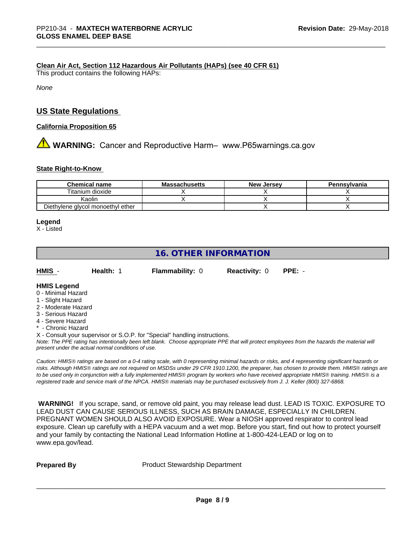#### **Clean Air Act,Section 112 Hazardous Air Pollutants (HAPs) (see 40 CFR 61)**

This product contains the following HAPs:

*None*

### **US State Regulations**

#### **California Proposition 65**

**AN** WARNING: Cancer and Reproductive Harm– www.P65warnings.ca.gov

#### **State Right-to-Know**

| <b>Chemical name</b>              | <b>Massachusetts</b> | <b>New Jersey</b> | Pennsylvania |
|-----------------------------------|----------------------|-------------------|--------------|
| Titanium dioxide                  |                      |                   |              |
| Kaolin                            |                      |                   |              |
| Diethylene glycol monoethyl ether |                      |                   |              |

#### **Legend**

X - Listed

### **16. OTHER INFORMATION**

| HMIS | Health: | <b>Flammability: 0</b> | <b>Reactivity: 0 PPE: -</b> |  |
|------|---------|------------------------|-----------------------------|--|
|      |         |                        |                             |  |

### **HMIS Legend**

- 0 Minimal Hazard
- 1 Slight Hazard
- 2 Moderate Hazard
- 3 Serious Hazard
- 4 Severe Hazard
- **Chronic Hazard**
- X Consult your supervisor or S.O.P. for "Special" handling instructions.

*Note: The PPE rating has intentionally been left blank. Choose appropriate PPE that will protect employees from the hazards the material will present under the actual normal conditions of use.*

*Caution: HMISÒ ratings are based on a 0-4 rating scale, with 0 representing minimal hazards or risks, and 4 representing significant hazards or risks. Although HMISÒ ratings are not required on MSDSs under 29 CFR 1910.1200, the preparer, has chosen to provide them. HMISÒ ratings are to be used only in conjunction with a fully implemented HMISÒ program by workers who have received appropriate HMISÒ training. HMISÒ is a registered trade and service mark of the NPCA. HMISÒ materials may be purchased exclusively from J. J. Keller (800) 327-6868.*

 **WARNING!** If you scrape, sand, or remove old paint, you may release lead dust. LEAD IS TOXIC. EXPOSURE TO LEAD DUST CAN CAUSE SERIOUS ILLNESS, SUCH AS BRAIN DAMAGE, ESPECIALLY IN CHILDREN. PREGNANT WOMEN SHOULD ALSO AVOID EXPOSURE.Wear a NIOSH approved respirator to control lead exposure. Clean up carefully with a HEPA vacuum and a wet mop. Before you start, find out how to protect yourself and your family by contacting the National Lead Information Hotline at 1-800-424-LEAD or log on to www.epa.gov/lead.

**Prepared By** Product Stewardship Department